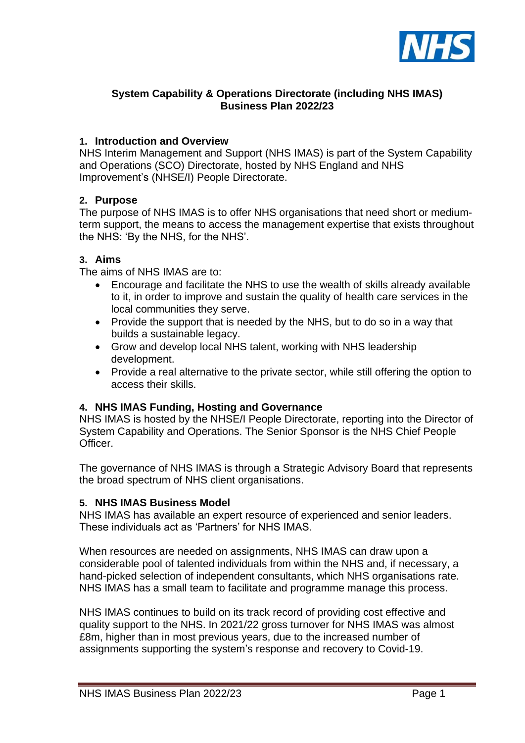

# **System Capability & Operations Directorate (including NHS IMAS) Business Plan 2022/23**

## **1. Introduction and Overview**

NHS Interim Management and Support (NHS IMAS) is part of the System Capability and Operations (SCO) Directorate, hosted by NHS England and NHS Improvement's (NHSE/I) People Directorate.

### **2. Purpose**

The purpose of NHS IMAS is to offer NHS organisations that need short or mediumterm support, the means to access the management expertise that exists throughout the NHS: 'By the NHS, for the NHS'.

### **3. Aims**

The aims of NHS IMAS are to:

- Encourage and facilitate the NHS to use the wealth of skills already available to it, in order to improve and sustain the quality of health care services in the local communities they serve.
- Provide the support that is needed by the NHS, but to do so in a way that builds a sustainable legacy.
- Grow and develop local NHS talent, working with NHS leadership development.
- Provide a real alternative to the private sector, while still offering the option to access their skills.

### **4. NHS IMAS Funding, Hosting and Governance**

NHS IMAS is hosted by the NHSE/I People Directorate, reporting into the Director of System Capability and Operations. The Senior Sponsor is the NHS Chief People Officer.

The governance of NHS IMAS is through a Strategic Advisory Board that represents the broad spectrum of NHS client organisations.

### **5. NHS IMAS Business Model**

NHS IMAS has available an expert resource of experienced and senior leaders. These individuals act as 'Partners' for NHS IMAS.

When resources are needed on assignments, NHS IMAS can draw upon a considerable pool of talented individuals from within the NHS and, if necessary, a hand-picked selection of independent consultants, which NHS organisations rate. NHS IMAS has a small team to facilitate and programme manage this process.

NHS IMAS continues to build on its track record of providing cost effective and quality support to the NHS. In 2021/22 gross turnover for NHS IMAS was almost £8m, higher than in most previous years, due to the increased number of assignments supporting the system's response and recovery to Covid-19.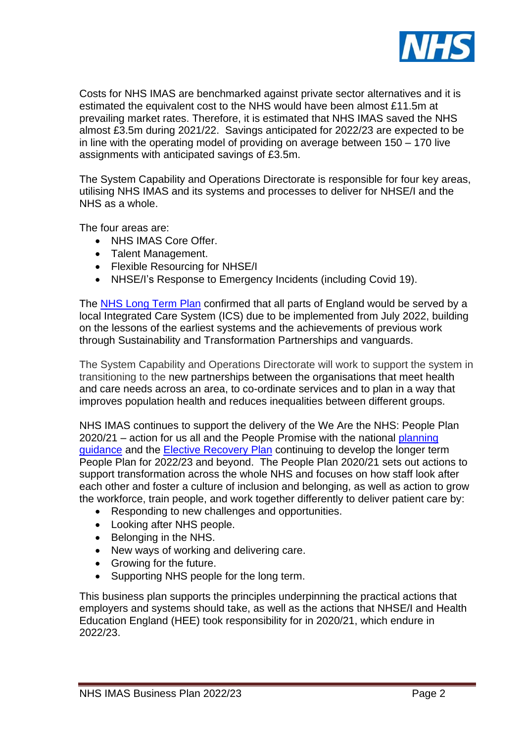

Costs for NHS IMAS are benchmarked against private sector alternatives and it is estimated the equivalent cost to the NHS would have been almost £11.5m at prevailing market rates. Therefore, it is estimated that NHS IMAS saved the NHS almost £3.5m during 2021/22. Savings anticipated for 2022/23 are expected to be in line with the operating model of providing on average between 150 – 170 live assignments with anticipated savings of £3.5m.

The System Capability and Operations Directorate is responsible for four key areas, utilising NHS IMAS and its systems and processes to deliver for NHSE/I and the NHS as a whole.

The four areas are:

- NHS IMAS Core Offer
- Talent Management.
- Flexible Resourcing for NHSE/I
- NHSE/I's Response to Emergency Incidents (including Covid 19).

The [NHS Long Term Plan](https://www.longtermplan.nhs.uk/) confirmed that all parts of England would be served by a local Integrated Care System (ICS) due to be implemented from July 2022, building on the lessons of the earliest systems and the achievements of previous work through Sustainability and Transformation Partnerships and vanguards.

The System Capability and Operations Directorate will work to support the system in transitioning to the new partnerships between the organisations that meet health and care needs across an area, to co-ordinate services and to plan in a way that improves population health and reduces inequalities between different groups.

NHS IMAS continues to support the delivery of the We Are the NHS: People Plan 2020/21 – action for us all and the People Promise with the national [planning](https://www.england.nhs.uk/publication/2021-22-priorities-and-operational-planning-guidance/)  [guidance](https://www.england.nhs.uk/publication/2021-22-priorities-and-operational-planning-guidance/) and the **Elective Recovery Plan** continuing to develop the longer term People Plan for 2022/23 and beyond. The People Plan 2020/21 sets out actions to support transformation across the whole NHS and focuses on how staff look after each other and foster a culture of inclusion and belonging, as well as action to grow the workforce, train people, and work together differently to deliver patient care by:

- Responding to new challenges and opportunities.
- Looking after NHS people.
- Belonging in the NHS.
- New ways of working and delivering care.
- Growing for the future.
- Supporting NHS people for the long term.

This business plan supports the principles underpinning the practical actions that employers and systems should take, as well as the actions that NHSE/I and Health Education England (HEE) took responsibility for in 2020/21, which endure in 2022/23.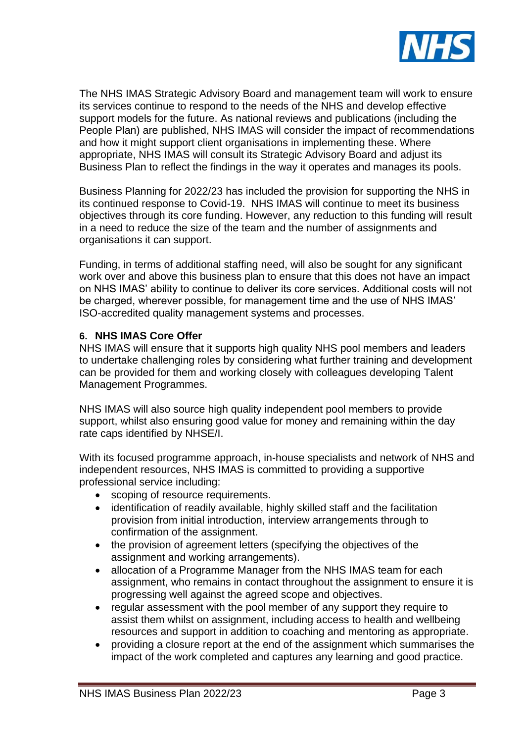

The NHS IMAS Strategic Advisory Board and management team will work to ensure its services continue to respond to the needs of the NHS and develop effective support models for the future. As national reviews and publications (including the People Plan) are published, NHS IMAS will consider the impact of recommendations and how it might support client organisations in implementing these. Where appropriate, NHS IMAS will consult its Strategic Advisory Board and adjust its Business Plan to reflect the findings in the way it operates and manages its pools.

Business Planning for 2022/23 has included the provision for supporting the NHS in its continued response to Covid-19. NHS IMAS will continue to meet its business objectives through its core funding. However, any reduction to this funding will result in a need to reduce the size of the team and the number of assignments and organisations it can support.

Funding, in terms of additional staffing need, will also be sought for any significant work over and above this business plan to ensure that this does not have an impact on NHS IMAS' ability to continue to deliver its core services. Additional costs will not be charged, wherever possible, for management time and the use of NHS IMAS' ISO-accredited quality management systems and processes.

### **6. NHS IMAS Core Offer**

NHS IMAS will ensure that it supports high quality NHS pool members and leaders to undertake challenging roles by considering what further training and development can be provided for them and working closely with colleagues developing Talent Management Programmes.

NHS IMAS will also source high quality independent pool members to provide support, whilst also ensuring good value for money and remaining within the day rate caps identified by NHSE/I.

With its focused programme approach, in-house specialists and network of NHS and independent resources, NHS IMAS is committed to providing a supportive professional service including:

- scoping of resource requirements.
- identification of readily available, highly skilled staff and the facilitation provision from initial introduction, interview arrangements through to confirmation of the assignment.
- the provision of agreement letters (specifying the objectives of the assignment and working arrangements).
- allocation of a Programme Manager from the NHS IMAS team for each assignment, who remains in contact throughout the assignment to ensure it is progressing well against the agreed scope and objectives.
- regular assessment with the pool member of any support they require to assist them whilst on assignment, including access to health and wellbeing resources and support in addition to coaching and mentoring as appropriate.
- providing a closure report at the end of the assignment which summarises the impact of the work completed and captures any learning and good practice.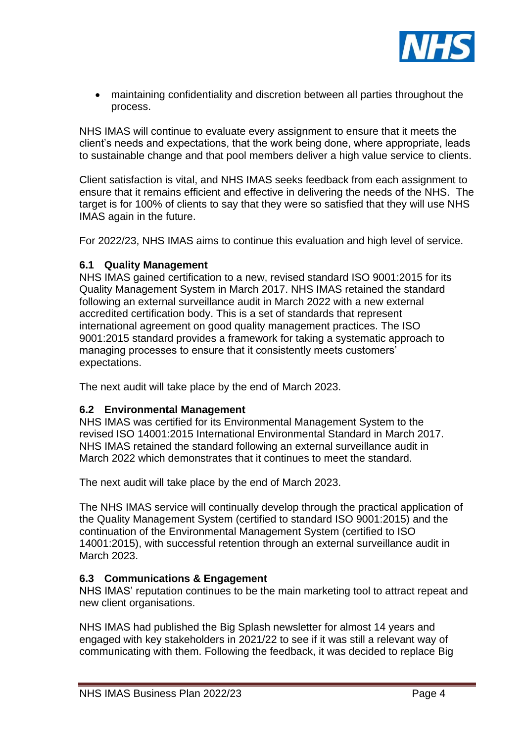

• maintaining confidentiality and discretion between all parties throughout the process.

NHS IMAS will continue to evaluate every assignment to ensure that it meets the client's needs and expectations, that the work being done, where appropriate, leads to sustainable change and that pool members deliver a high value service to clients.

Client satisfaction is vital, and NHS IMAS seeks feedback from each assignment to ensure that it remains efficient and effective in delivering the needs of the NHS. The target is for 100% of clients to say that they were so satisfied that they will use NHS IMAS again in the future.

For 2022/23, NHS IMAS aims to continue this evaluation and high level of service.

### **6.1 Quality Management**

NHS IMAS gained certification to a new, revised standard ISO 9001:2015 for its Quality Management System in March 2017. NHS IMAS retained the standard following an external surveillance audit in March 2022 with a new external accredited certification body. This is a set of standards that represent international agreement on good quality management practices. The ISO 9001:2015 standard provides a framework for taking a systematic approach to managing processes to ensure that it consistently meets customers' expectations.

The next audit will take place by the end of March 2023.

### **6.2 Environmental Management**

NHS IMAS was certified for its Environmental Management System to the revised ISO 14001:2015 International Environmental Standard in March 2017. NHS IMAS retained the standard following an external surveillance audit in March 2022 which demonstrates that it continues to meet the standard.

The next audit will take place by the end of March 2023.

The NHS IMAS service will continually develop through the practical application of the Quality Management System (certified to standard ISO 9001:2015) and the continuation of the Environmental Management System (certified to ISO 14001:2015), with successful retention through an external surveillance audit in March 2023.

### **6.3 Communications & Engagement**

NHS IMAS' reputation continues to be the main marketing tool to attract repeat and new client organisations.

NHS IMAS had published the Big Splash newsletter for almost 14 years and engaged with key stakeholders in 2021/22 to see if it was still a relevant way of communicating with them. Following the feedback, it was decided to replace Big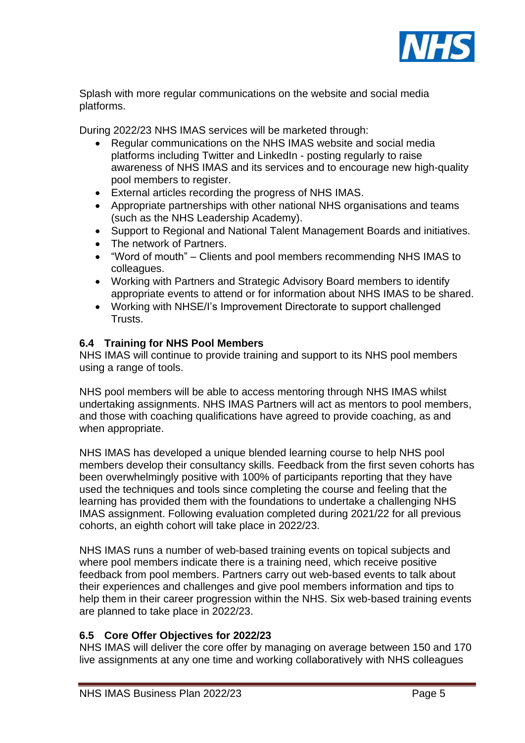

Splash with more regular communications on the website and social media platforms.

During 2022/23 NHS IMAS services will be marketed through:

- Regular communications on the NHS IMAS website and social media platforms including Twitter and LinkedIn - posting regularly to raise awareness of NHS IMAS and its services and to encourage new high-quality pool members to register.
- External articles recording the progress of NHS IMAS.
- Appropriate partnerships with other national NHS organisations and teams (such as the NHS Leadership Academy).
- Support to Regional and National Talent Management Boards and initiatives.
- The network of Partners.
- "Word of mouth" Clients and pool members recommending NHS IMAS to colleagues.
- Working with Partners and Strategic Advisory Board members to identify appropriate events to attend or for information about NHS IMAS to be shared.
- Working with NHSE/I's Improvement Directorate to support challenged Trusts.

### **6.4 Training for NHS Pool Members**

NHS IMAS will continue to provide training and support to its NHS pool members using a range of tools.

NHS pool members will be able to access mentoring through NHS IMAS whilst undertaking assignments. NHS IMAS Partners will act as mentors to pool members, and those with coaching qualifications have agreed to provide coaching, as and when appropriate.

NHS IMAS has developed a unique blended learning course to help NHS pool members develop their consultancy skills. Feedback from the first seven cohorts has been overwhelmingly positive with 100% of participants reporting that they have used the techniques and tools since completing the course and feeling that the learning has provided them with the foundations to undertake a challenging NHS IMAS assignment. Following evaluation completed during 2021/22 for all previous cohorts, an eighth cohort will take place in 2022/23.

NHS IMAS runs a number of web-based training events on topical subjects and where pool members indicate there is a training need, which receive positive feedback from pool members. Partners carry out web-based events to talk about their experiences and challenges and give pool members information and tips to help them in their career progression within the NHS. Six web-based training events are planned to take place in 2022/23.

### **6.5 Core Offer Objectives for 2022/23**

NHS IMAS will deliver the core offer by managing on average between 150 and 170 live assignments at any one time and working collaboratively with NHS colleagues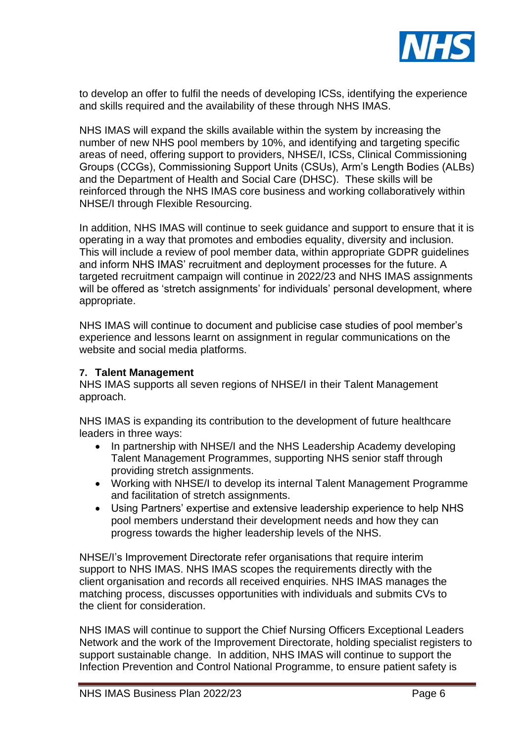

to develop an offer to fulfil the needs of developing ICSs, identifying the experience and skills required and the availability of these through NHS IMAS.

NHS IMAS will expand the skills available within the system by increasing the number of new NHS pool members by 10%, and identifying and targeting specific areas of need, offering support to providers, NHSE/I, ICSs, Clinical Commissioning Groups (CCGs), Commissioning Support Units (CSUs), Arm's Length Bodies (ALBs) and the Department of Health and Social Care (DHSC). These skills will be reinforced through the NHS IMAS core business and working collaboratively within NHSE/I through Flexible Resourcing.

In addition, NHS IMAS will continue to seek guidance and support to ensure that it is operating in a way that promotes and embodies equality, diversity and inclusion. This will include a review of pool member data, within appropriate GDPR guidelines and inform NHS IMAS' recruitment and deployment processes for the future. A targeted recruitment campaign will continue in 2022/23 and NHS IMAS assignments will be offered as 'stretch assignments' for individuals' personal development, where appropriate.

NHS IMAS will continue to document and publicise case studies of pool member's experience and lessons learnt on assignment in regular communications on the website and social media platforms.

### **7. Talent Management**

NHS IMAS supports all seven regions of NHSE/I in their Talent Management approach.

NHS IMAS is expanding its contribution to the development of future healthcare leaders in three ways:

- In partnership with NHSE/I and the NHS Leadership Academy developing Talent Management Programmes, supporting NHS senior staff through providing stretch assignments.
- Working with NHSE/I to develop its internal Talent Management Programme and facilitation of stretch assignments.
- Using Partners' expertise and extensive leadership experience to help NHS pool members understand their development needs and how they can progress towards the higher leadership levels of the NHS.

NHSE/I's Improvement Directorate refer organisations that require interim support to NHS IMAS. NHS IMAS scopes the requirements directly with the client organisation and records all received enquiries. NHS IMAS manages the matching process, discusses opportunities with individuals and submits CVs to the client for consideration.

NHS IMAS will continue to support the Chief Nursing Officers Exceptional Leaders Network and the work of the Improvement Directorate, holding specialist registers to support sustainable change. In addition, NHS IMAS will continue to support the Infection Prevention and Control National Programme, to ensure patient safety is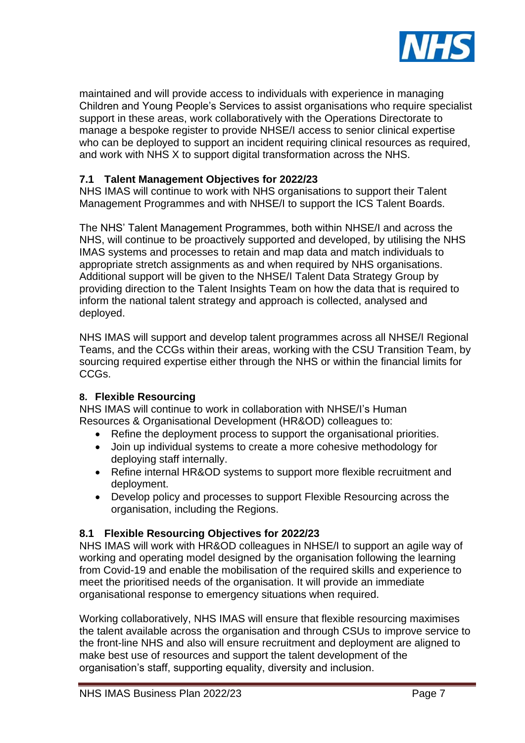

maintained and will provide access to individuals with experience in managing Children and Young People's Services to assist organisations who require specialist support in these areas, work collaboratively with the Operations Directorate to manage a bespoke register to provide NHSE/I access to senior clinical expertise who can be deployed to support an incident requiring clinical resources as required, and work with NHS X to support digital transformation across the NHS.

# **7.1 Talent Management Objectives for 2022/23**

NHS IMAS will continue to work with NHS organisations to support their Talent Management Programmes and with NHSE/I to support the ICS Talent Boards.

The NHS' Talent Management Programmes, both within NHSE/I and across the NHS, will continue to be proactively supported and developed, by utilising the NHS IMAS systems and processes to retain and map data and match individuals to appropriate stretch assignments as and when required by NHS organisations. Additional support will be given to the NHSE/I Talent Data Strategy Group by providing direction to the Talent Insights Team on how the data that is required to inform the national talent strategy and approach is collected, analysed and deployed.

NHS IMAS will support and develop talent programmes across all NHSE/I Regional Teams, and the CCGs within their areas, working with the CSU Transition Team, by sourcing required expertise either through the NHS or within the financial limits for CCGs.

### **8. Flexible Resourcing**

NHS IMAS will continue to work in collaboration with NHSE/I's Human Resources & Organisational Development (HR&OD) colleagues to:

- Refine the deployment process to support the organisational priorities.
- Join up individual systems to create a more cohesive methodology for deploying staff internally.
- Refine internal HR&OD systems to support more flexible recruitment and deployment.
- Develop policy and processes to support Flexible Resourcing across the organisation, including the Regions.

### **8.1 Flexible Resourcing Objectives for 2022/23**

NHS IMAS will work with HR&OD colleagues in NHSE/I to support an agile way of working and operating model designed by the organisation following the learning from Covid-19 and enable the mobilisation of the required skills and experience to meet the prioritised needs of the organisation. It will provide an immediate organisational response to emergency situations when required.

Working collaboratively, NHS IMAS will ensure that flexible resourcing maximises the talent available across the organisation and through CSUs to improve service to the front-line NHS and also will ensure recruitment and deployment are aligned to make best use of resources and support the talent development of the organisation's staff, supporting equality, diversity and inclusion.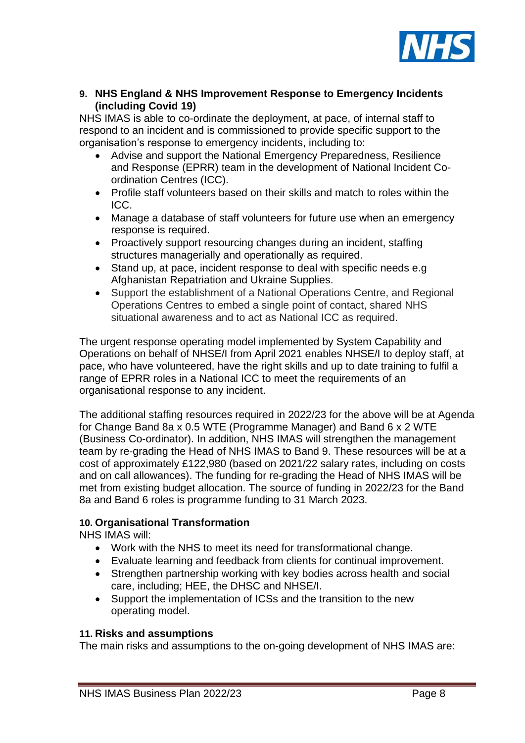

**9. NHS England & NHS Improvement Response to Emergency Incidents (including Covid 19)**

NHS IMAS is able to co-ordinate the deployment, at pace, of internal staff to respond to an incident and is commissioned to provide specific support to the organisation's response to emergency incidents, including to:

- Advise and support the National Emergency Preparedness, Resilience and Response (EPRR) team in the development of National Incident Coordination Centres (ICC).
- Profile staff volunteers based on their skills and match to roles within the ICC.
- Manage a database of staff volunteers for future use when an emergency response is required.
- Proactively support resourcing changes during an incident, staffing structures managerially and operationally as required.
- Stand up, at pace, incident response to deal with specific needs e.g Afghanistan Repatriation and Ukraine Supplies.
- Support the establishment of a National Operations Centre, and Regional Operations Centres to embed a single point of contact, shared NHS situational awareness and to act as National ICC as required.

The urgent response operating model implemented by System Capability and Operations on behalf of NHSE/I from April 2021 enables NHSE/I to deploy staff, at pace, who have volunteered, have the right skills and up to date training to fulfil a range of EPRR roles in a National ICC to meet the requirements of an organisational response to any incident.

The additional staffing resources required in 2022/23 for the above will be at Agenda for Change Band 8a x 0.5 WTE (Programme Manager) and Band 6 x 2 WTE (Business Co-ordinator). In addition, NHS IMAS will strengthen the management team by re-grading the Head of NHS IMAS to Band 9. These resources will be at a cost of approximately £122,980 (based on 2021/22 salary rates, including on costs and on call allowances). The funding for re-grading the Head of NHS IMAS will be met from existing budget allocation. The source of funding in 2022/23 for the Band 8a and Band 6 roles is programme funding to 31 March 2023.

### **10. Organisational Transformation**

NHS IMAS will:

- Work with the NHS to meet its need for transformational change.
- Evaluate learning and feedback from clients for continual improvement.
- Strengthen partnership working with key bodies across health and social care, including; HEE, the DHSC and NHSE/I.
- Support the implementation of ICSs and the transition to the new operating model.

### **11. Risks and assumptions**

The main risks and assumptions to the on-going development of NHS IMAS are: